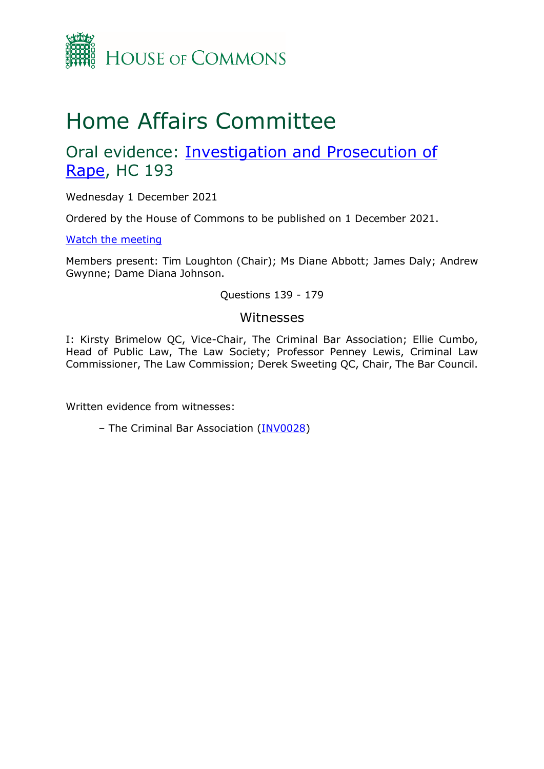

# Home Affairs Committee

## Oral evidence: [Investigation and Prosecution of](https://committees.parliament.uk/work/1160/investigation-and-prosecution-of-rape/)  [Rape,](https://committees.parliament.uk/work/1160/investigation-and-prosecution-of-rape/) HC 193

Wednesday 1 December 2021

Ordered by the House of Commons to be published on 1 December 2021.

[Watch the meeting](https://parliamentlive.tv/event/index/feb55a7b-edb8-40b8-b7c9-ed662edc649e)

Members present: Tim Loughton (Chair); Ms Diane Abbott; James Daly; Andrew Gwynne; Dame Diana Johnson.

Questions 139 - 179

#### Witnesses

I: Kirsty Brimelow QC, Vice-Chair, The Criminal Bar Association; Ellie Cumbo, Head of Public Law, The Law Society; Professor Penney Lewis, Criminal Law Commissioner, The Law Commission; Derek Sweeting QC, Chair, The Bar Council.

Written evidence from witnesses:

– The Criminal Bar Association [\(INV0028\)](https://committees.parliament.uk/writtenevidence/41078/pdf/)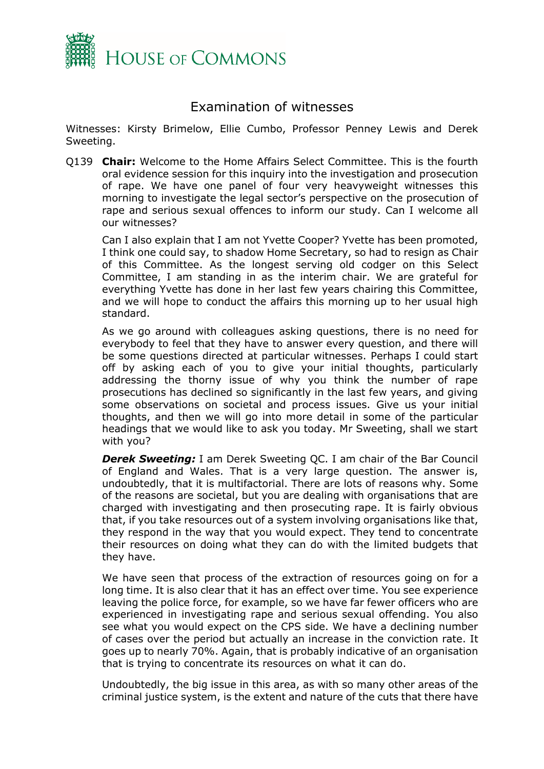

### Examination of witnesses

Witnesses: Kirsty Brimelow, Ellie Cumbo, Professor Penney Lewis and Derek Sweeting.

Q139 **Chair:** Welcome to the Home Affairs Select Committee. This is the fourth oral evidence session for this inquiry into the investigation and prosecution of rape. We have one panel of four very heavyweight witnesses this morning to investigate the legal sector's perspective on the prosecution of rape and serious sexual offences to inform our study. Can I welcome all our witnesses?

Can I also explain that I am not Yvette Cooper? Yvette has been promoted, I think one could say, to shadow Home Secretary, so had to resign as Chair of this Committee. As the longest serving old codger on this Select Committee, I am standing in as the interim chair. We are grateful for everything Yvette has done in her last few years chairing this Committee, and we will hope to conduct the affairs this morning up to her usual high standard.

As we go around with colleagues asking questions, there is no need for everybody to feel that they have to answer every question, and there will be some questions directed at particular witnesses. Perhaps I could start off by asking each of you to give your initial thoughts, particularly addressing the thorny issue of why you think the number of rape prosecutions has declined so significantly in the last few years, and giving some observations on societal and process issues. Give us your initial thoughts, and then we will go into more detail in some of the particular headings that we would like to ask you today. Mr Sweeting, shall we start with you?

**Derek Sweeting:** I am Derek Sweeting QC. I am chair of the Bar Council of England and Wales. That is a very large question. The answer is, undoubtedly, that it is multifactorial. There are lots of reasons why. Some of the reasons are societal, but you are dealing with organisations that are charged with investigating and then prosecuting rape. It is fairly obvious that, if you take resources out of a system involving organisations like that, they respond in the way that you would expect. They tend to concentrate their resources on doing what they can do with the limited budgets that they have.

We have seen that process of the extraction of resources going on for a long time. It is also clear that it has an effect over time. You see experience leaving the police force, for example, so we have far fewer officers who are experienced in investigating rape and serious sexual offending. You also see what you would expect on the CPS side. We have a declining number of cases over the period but actually an increase in the conviction rate. It goes up to nearly 70%. Again, that is probably indicative of an organisation that is trying to concentrate its resources on what it can do.

Undoubtedly, the big issue in this area, as with so many other areas of the criminal justice system, is the extent and nature of the cuts that there have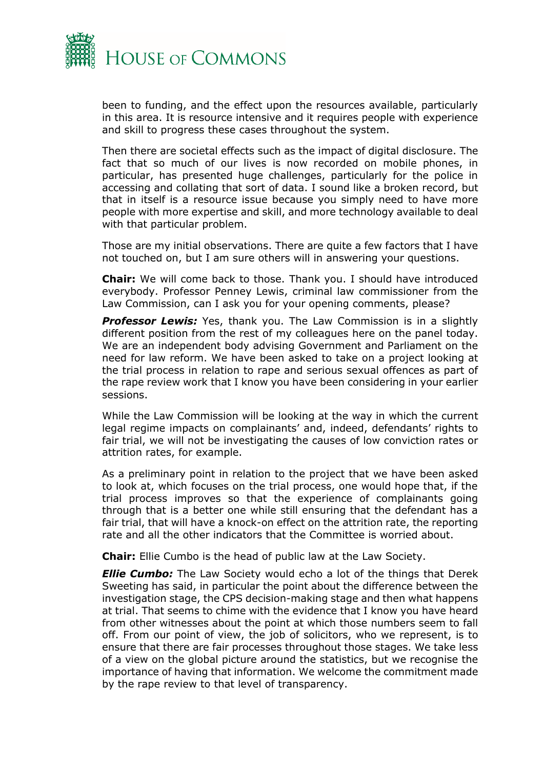

been to funding, and the effect upon the resources available, particularly in this area. It is resource intensive and it requires people with experience and skill to progress these cases throughout the system.

Then there are societal effects such as the impact of digital disclosure. The fact that so much of our lives is now recorded on mobile phones, in particular, has presented huge challenges, particularly for the police in accessing and collating that sort of data. I sound like a broken record, but that in itself is a resource issue because you simply need to have more people with more expertise and skill, and more technology available to deal with that particular problem.

Those are my initial observations. There are quite a few factors that I have not touched on, but I am sure others will in answering your questions.

**Chair:** We will come back to those. Thank you. I should have introduced everybody. Professor Penney Lewis, criminal law commissioner from the Law Commission, can I ask you for your opening comments, please?

**Professor Lewis:** Yes, thank you. The Law Commission is in a slightly different position from the rest of my colleagues here on the panel today. We are an independent body advising Government and Parliament on the need for law reform. We have been asked to take on a project looking at the trial process in relation to rape and serious sexual offences as part of the rape review work that I know you have been considering in your earlier sessions.

While the Law Commission will be looking at the way in which the current legal regime impacts on complainants' and, indeed, defendants' rights to fair trial, we will not be investigating the causes of low conviction rates or attrition rates, for example.

As a preliminary point in relation to the project that we have been asked to look at, which focuses on the trial process, one would hope that, if the trial process improves so that the experience of complainants going through that is a better one while still ensuring that the defendant has a fair trial, that will have a knock-on effect on the attrition rate, the reporting rate and all the other indicators that the Committee is worried about.

**Chair:** Ellie Cumbo is the head of public law at the Law Society.

*Ellie Cumbo:* The Law Society would echo a lot of the things that Derek Sweeting has said, in particular the point about the difference between the investigation stage, the CPS decision-making stage and then what happens at trial. That seems to chime with the evidence that I know you have heard from other witnesses about the point at which those numbers seem to fall off. From our point of view, the job of solicitors, who we represent, is to ensure that there are fair processes throughout those stages. We take less of a view on the global picture around the statistics, but we recognise the importance of having that information. We welcome the commitment made by the rape review to that level of transparency.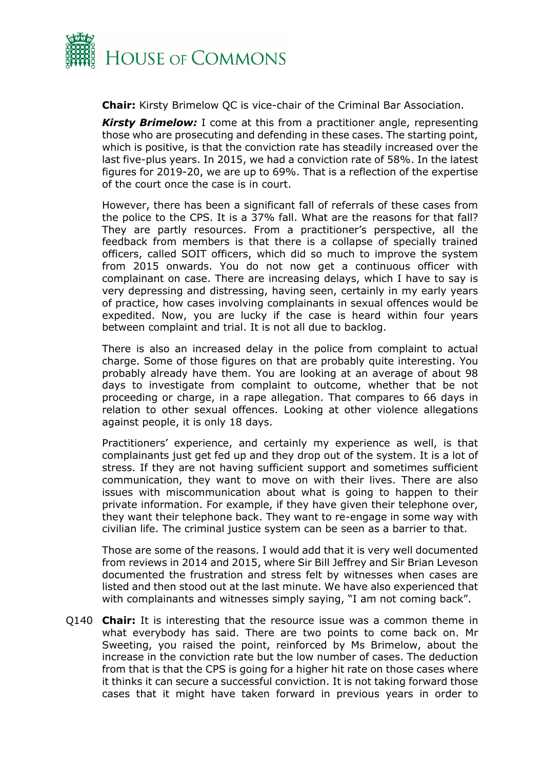

**Chair:** Kirsty Brimelow QC is vice-chair of the Criminal Bar Association.

**Kirsty Brimelow:** I come at this from a practitioner angle, representing those who are prosecuting and defending in these cases. The starting point, which is positive, is that the conviction rate has steadily increased over the last five-plus years. In 2015, we had a conviction rate of 58%. In the latest figures for 2019-20, we are up to 69%. That is a reflection of the expertise of the court once the case is in court.

However, there has been a significant fall of referrals of these cases from the police to the CPS. It is a 37% fall. What are the reasons for that fall? They are partly resources. From a practitioner's perspective, all the feedback from members is that there is a collapse of specially trained officers, called SOIT officers, which did so much to improve the system from 2015 onwards. You do not now get a continuous officer with complainant on case. There are increasing delays, which I have to say is very depressing and distressing, having seen, certainly in my early years of practice, how cases involving complainants in sexual offences would be expedited. Now, you are lucky if the case is heard within four years between complaint and trial. It is not all due to backlog.

There is also an increased delay in the police from complaint to actual charge. Some of those figures on that are probably quite interesting. You probably already have them. You are looking at an average of about 98 days to investigate from complaint to outcome, whether that be not proceeding or charge, in a rape allegation. That compares to 66 days in relation to other sexual offences. Looking at other violence allegations against people, it is only 18 days.

Practitioners' experience, and certainly my experience as well, is that complainants just get fed up and they drop out of the system. It is a lot of stress. If they are not having sufficient support and sometimes sufficient communication, they want to move on with their lives. There are also issues with miscommunication about what is going to happen to their private information. For example, if they have given their telephone over, they want their telephone back. They want to re-engage in some way with civilian life. The criminal justice system can be seen as a barrier to that.

Those are some of the reasons. I would add that it is very well documented from reviews in 2014 and 2015, where Sir Bill Jeffrey and Sir Brian Leveson documented the frustration and stress felt by witnesses when cases are listed and then stood out at the last minute. We have also experienced that with complainants and witnesses simply saying, "I am not coming back".

Q140 **Chair:** It is interesting that the resource issue was a common theme in what everybody has said. There are two points to come back on. Mr Sweeting, you raised the point, reinforced by Ms Brimelow, about the increase in the conviction rate but the low number of cases. The deduction from that is that the CPS is going for a higher hit rate on those cases where it thinks it can secure a successful conviction. It is not taking forward those cases that it might have taken forward in previous years in order to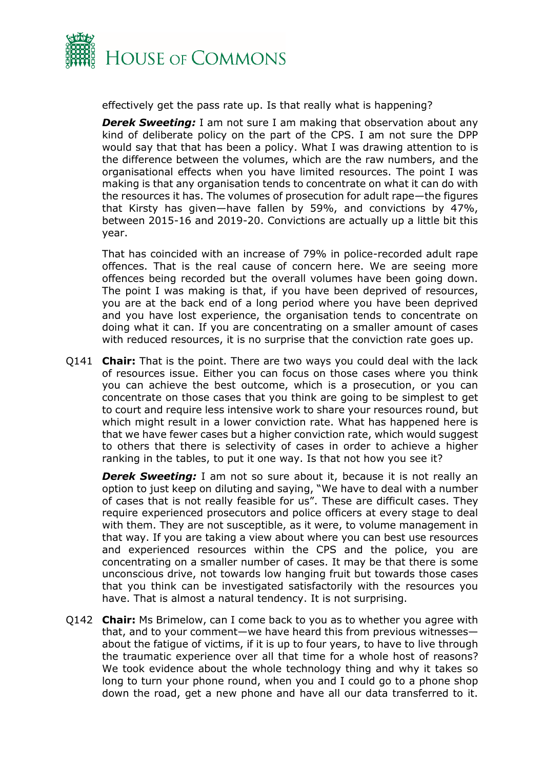

effectively get the pass rate up. Is that really what is happening?

**Derek Sweeting:** I am not sure I am making that observation about any kind of deliberate policy on the part of the CPS. I am not sure the DPP would say that that has been a policy. What I was drawing attention to is the difference between the volumes, which are the raw numbers, and the organisational effects when you have limited resources. The point I was making is that any organisation tends to concentrate on what it can do with the resources it has. The volumes of prosecution for adult rape—the figures that Kirsty has given—have fallen by 59%, and convictions by 47%, between 2015-16 and 2019-20. Convictions are actually up a little bit this year.

That has coincided with an increase of 79% in police-recorded adult rape offences. That is the real cause of concern here. We are seeing more offences being recorded but the overall volumes have been going down. The point I was making is that, if you have been deprived of resources, you are at the back end of a long period where you have been deprived and you have lost experience, the organisation tends to concentrate on doing what it can. If you are concentrating on a smaller amount of cases with reduced resources, it is no surprise that the conviction rate goes up.

Q141 **Chair:** That is the point. There are two ways you could deal with the lack of resources issue. Either you can focus on those cases where you think you can achieve the best outcome, which is a prosecution, or you can concentrate on those cases that you think are going to be simplest to get to court and require less intensive work to share your resources round, but which might result in a lower conviction rate. What has happened here is that we have fewer cases but a higher conviction rate, which would suggest to others that there is selectivity of cases in order to achieve a higher ranking in the tables, to put it one way. Is that not how you see it?

**Derek Sweeting:** I am not so sure about it, because it is not really an option to just keep on diluting and saying, "We have to deal with a number of cases that is not really feasible for us". These are difficult cases. They require experienced prosecutors and police officers at every stage to deal with them. They are not susceptible, as it were, to volume management in that way. If you are taking a view about where you can best use resources and experienced resources within the CPS and the police, you are concentrating on a smaller number of cases. It may be that there is some unconscious drive, not towards low hanging fruit but towards those cases that you think can be investigated satisfactorily with the resources you have. That is almost a natural tendency. It is not surprising.

Q142 **Chair:** Ms Brimelow, can I come back to you as to whether you agree with that, and to your comment—we have heard this from previous witnesses about the fatigue of victims, if it is up to four years, to have to live through the traumatic experience over all that time for a whole host of reasons? We took evidence about the whole technology thing and why it takes so long to turn your phone round, when you and I could go to a phone shop down the road, get a new phone and have all our data transferred to it.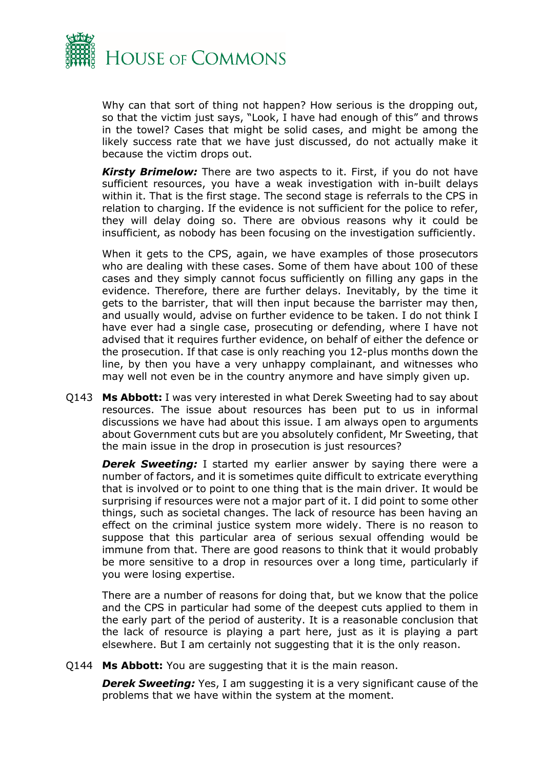

Why can that sort of thing not happen? How serious is the dropping out, so that the victim just says, "Look, I have had enough of this" and throws in the towel? Cases that might be solid cases, and might be among the likely success rate that we have just discussed, do not actually make it because the victim drops out.

*Kirsty Brimelow:* There are two aspects to it. First, if you do not have sufficient resources, you have a weak investigation with in-built delays within it. That is the first stage. The second stage is referrals to the CPS in relation to charging. If the evidence is not sufficient for the police to refer, they will delay doing so. There are obvious reasons why it could be insufficient, as nobody has been focusing on the investigation sufficiently.

When it gets to the CPS, again, we have examples of those prosecutors who are dealing with these cases. Some of them have about 100 of these cases and they simply cannot focus sufficiently on filling any gaps in the evidence. Therefore, there are further delays. Inevitably, by the time it gets to the barrister, that will then input because the barrister may then, and usually would, advise on further evidence to be taken. I do not think I have ever had a single case, prosecuting or defending, where I have not advised that it requires further evidence, on behalf of either the defence or the prosecution. If that case is only reaching you 12-plus months down the line, by then you have a very unhappy complainant, and witnesses who may well not even be in the country anymore and have simply given up.

Q143 **Ms Abbott:** I was very interested in what Derek Sweeting had to say about resources. The issue about resources has been put to us in informal discussions we have had about this issue. I am always open to arguments about Government cuts but are you absolutely confident, Mr Sweeting, that the main issue in the drop in prosecution is just resources?

**Derek Sweeting:** I started my earlier answer by saying there were a number of factors, and it is sometimes quite difficult to extricate everything that is involved or to point to one thing that is the main driver. It would be surprising if resources were not a major part of it. I did point to some other things, such as societal changes. The lack of resource has been having an effect on the criminal justice system more widely. There is no reason to suppose that this particular area of serious sexual offending would be immune from that. There are good reasons to think that it would probably be more sensitive to a drop in resources over a long time, particularly if you were losing expertise.

There are a number of reasons for doing that, but we know that the police and the CPS in particular had some of the deepest cuts applied to them in the early part of the period of austerity. It is a reasonable conclusion that the lack of resource is playing a part here, just as it is playing a part elsewhere. But I am certainly not suggesting that it is the only reason.

Q144 **Ms Abbott:** You are suggesting that it is the main reason.

**Derek Sweeting:** Yes, I am suggesting it is a very significant cause of the problems that we have within the system at the moment.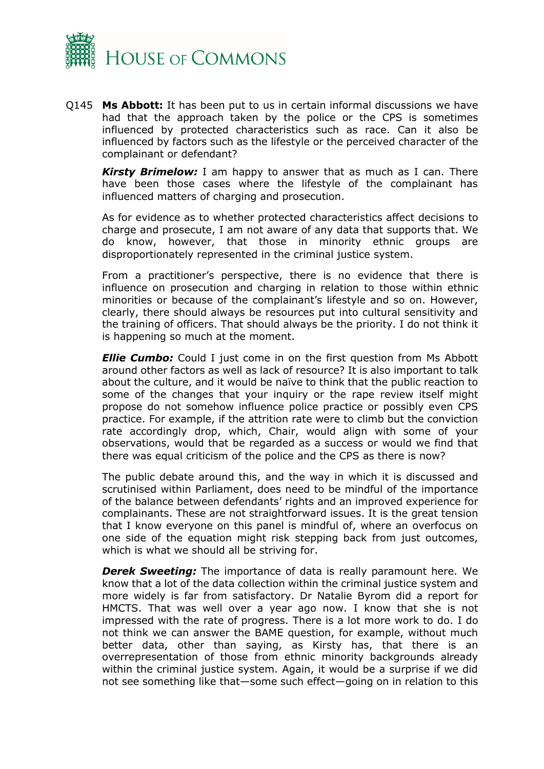

Q145 **Ms Abbott:** It has been put to us in certain informal discussions we have had that the approach taken by the police or the CPS is sometimes influenced by protected characteristics such as race. Can it also be influenced by factors such as the lifestyle or the perceived character of the complainant or defendant?

**Kirsty Brimelow:** I am happy to answer that as much as I can. There have been those cases where the lifestyle of the complainant has influenced matters of charging and prosecution.

As for evidence as to whether protected characteristics affect decisions to charge and prosecute, I am not aware of any data that supports that. We do know, however, that those in minority ethnic groups are disproportionately represented in the criminal justice system.

From a practitioner's perspective, there is no evidence that there is influence on prosecution and charging in relation to those within ethnic minorities or because of the complainant's lifestyle and so on. However, clearly, there should always be resources put into cultural sensitivity and the training of officers. That should always be the priority. I do not think it is happening so much at the moment.

*Ellie Cumbo:* Could I just come in on the first question from Ms Abbott around other factors as well as lack of resource? It is also important to talk about the culture, and it would be naïve to think that the public reaction to some of the changes that your inquiry or the rape review itself might propose do not somehow influence police practice or possibly even CPS practice. For example, if the attrition rate were to climb but the conviction rate accordingly drop, which, Chair, would align with some of your observations, would that be regarded as a success or would we find that there was equal criticism of the police and the CPS as there is now?

The public debate around this, and the way in which it is discussed and scrutinised within Parliament, does need to be mindful of the importance of the balance between defendants' rights and an improved experience for complainants. These are not straightforward issues. It is the great tension that I know everyone on this panel is mindful of, where an overfocus on one side of the equation might risk stepping back from just outcomes, which is what we should all be striving for.

**Derek Sweeting:** The importance of data is really paramount here. We know that a lot of the data collection within the criminal justice system and more widely is far from satisfactory. Dr Natalie Byrom did a report for HMCTS. That was well over a year ago now. I know that she is not impressed with the rate of progress. There is a lot more work to do. I do not think we can answer the BAME question, for example, without much better data, other than saying, as Kirsty has, that there is an overrepresentation of those from ethnic minority backgrounds already within the criminal justice system. Again, it would be a surprise if we did not see something like that—some such effect—going on in relation to this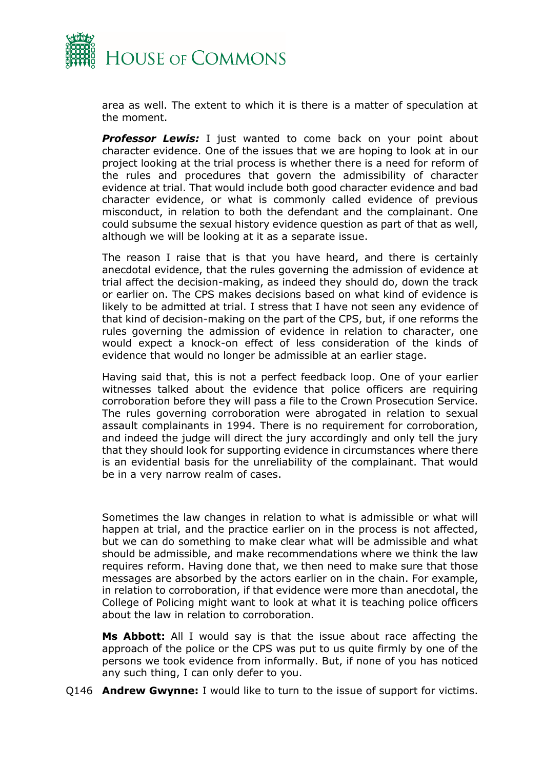

area as well. The extent to which it is there is a matter of speculation at the moment.

**Professor Lewis:** I just wanted to come back on your point about character evidence. One of the issues that we are hoping to look at in our project looking at the trial process is whether there is a need for reform of the rules and procedures that govern the admissibility of character evidence at trial. That would include both good character evidence and bad character evidence, or what is commonly called evidence of previous misconduct, in relation to both the defendant and the complainant. One could subsume the sexual history evidence question as part of that as well, although we will be looking at it as a separate issue.

The reason I raise that is that you have heard, and there is certainly anecdotal evidence, that the rules governing the admission of evidence at trial affect the decision-making, as indeed they should do, down the track or earlier on. The CPS makes decisions based on what kind of evidence is likely to be admitted at trial. I stress that I have not seen any evidence of that kind of decision-making on the part of the CPS, but, if one reforms the rules governing the admission of evidence in relation to character, one would expect a knock-on effect of less consideration of the kinds of evidence that would no longer be admissible at an earlier stage.

Having said that, this is not a perfect feedback loop. One of your earlier witnesses talked about the evidence that police officers are requiring corroboration before they will pass a file to the Crown Prosecution Service. The rules governing corroboration were abrogated in relation to sexual assault complainants in 1994. There is no requirement for corroboration, and indeed the judge will direct the jury accordingly and only tell the jury that they should look for supporting evidence in circumstances where there is an evidential basis for the unreliability of the complainant. That would be in a very narrow realm of cases.

Sometimes the law changes in relation to what is admissible or what will happen at trial, and the practice earlier on in the process is not affected, but we can do something to make clear what will be admissible and what should be admissible, and make recommendations where we think the law requires reform. Having done that, we then need to make sure that those messages are absorbed by the actors earlier on in the chain. For example, in relation to corroboration, if that evidence were more than anecdotal, the College of Policing might want to look at what it is teaching police officers about the law in relation to corroboration.

**Ms Abbott:** All I would say is that the issue about race affecting the approach of the police or the CPS was put to us quite firmly by one of the persons we took evidence from informally. But, if none of you has noticed any such thing, I can only defer to you.

Q146 **Andrew Gwynne:** I would like to turn to the issue of support for victims.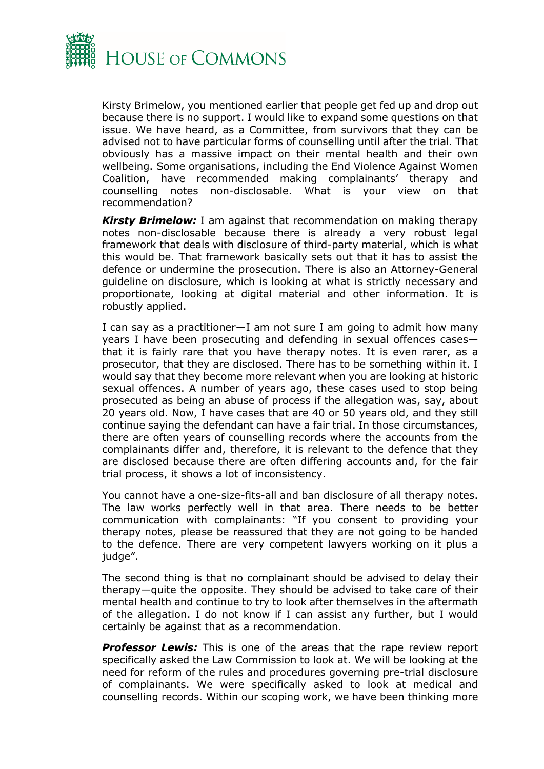

Kirsty Brimelow, you mentioned earlier that people get fed up and drop out because there is no support. I would like to expand some questions on that issue. We have heard, as a Committee, from survivors that they can be advised not to have particular forms of counselling until after the trial. That obviously has a massive impact on their mental health and their own wellbeing. Some organisations, including the End Violence Against Women Coalition, have recommended making complainants' therapy and counselling notes non-disclosable. What is your view on that recommendation?

**Kirsty Brimelow:** I am against that recommendation on making therapy notes non-disclosable because there is already a very robust legal framework that deals with disclosure of third-party material, which is what this would be. That framework basically sets out that it has to assist the defence or undermine the prosecution. There is also an Attorney-General guideline on disclosure, which is looking at what is strictly necessary and proportionate, looking at digital material and other information. It is robustly applied.

I can say as a practitioner—I am not sure I am going to admit how many years I have been prosecuting and defending in sexual offences cases that it is fairly rare that you have therapy notes. It is even rarer, as a prosecutor, that they are disclosed. There has to be something within it. I would say that they become more relevant when you are looking at historic sexual offences. A number of years ago, these cases used to stop being prosecuted as being an abuse of process if the allegation was, say, about 20 years old. Now, I have cases that are 40 or 50 years old, and they still continue saying the defendant can have a fair trial. In those circumstances, there are often years of counselling records where the accounts from the complainants differ and, therefore, it is relevant to the defence that they are disclosed because there are often differing accounts and, for the fair trial process, it shows a lot of inconsistency.

You cannot have a one-size-fits-all and ban disclosure of all therapy notes. The law works perfectly well in that area. There needs to be better communication with complainants: "If you consent to providing your therapy notes, please be reassured that they are not going to be handed to the defence. There are very competent lawyers working on it plus a judge".

The second thing is that no complainant should be advised to delay their therapy—quite the opposite. They should be advised to take care of their mental health and continue to try to look after themselves in the aftermath of the allegation. I do not know if I can assist any further, but I would certainly be against that as a recommendation.

*Professor Lewis:* This is one of the areas that the rape review report specifically asked the Law Commission to look at. We will be looking at the need for reform of the rules and procedures governing pre-trial disclosure of complainants. We were specifically asked to look at medical and counselling records. Within our scoping work, we have been thinking more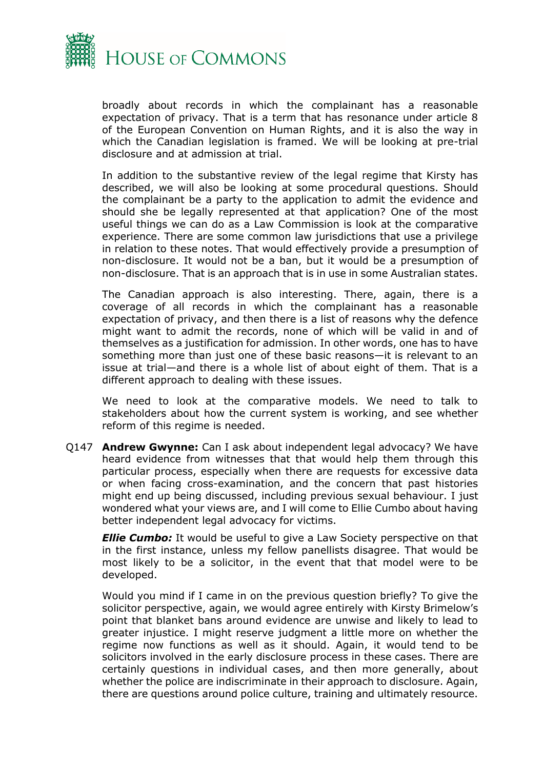

broadly about records in which the complainant has a reasonable expectation of privacy. That is a term that has resonance under article 8 of the European Convention on Human Rights, and it is also the way in which the Canadian legislation is framed. We will be looking at pre-trial disclosure and at admission at trial.

In addition to the substantive review of the legal regime that Kirsty has described, we will also be looking at some procedural questions. Should the complainant be a party to the application to admit the evidence and should she be legally represented at that application? One of the most useful things we can do as a Law Commission is look at the comparative experience. There are some common law jurisdictions that use a privilege in relation to these notes. That would effectively provide a presumption of non-disclosure. It would not be a ban, but it would be a presumption of non-disclosure. That is an approach that is in use in some Australian states.

The Canadian approach is also interesting. There, again, there is a coverage of all records in which the complainant has a reasonable expectation of privacy, and then there is a list of reasons why the defence might want to admit the records, none of which will be valid in and of themselves as a justification for admission. In other words, one has to have something more than just one of these basic reasons—it is relevant to an issue at trial—and there is a whole list of about eight of them. That is a different approach to dealing with these issues.

We need to look at the comparative models. We need to talk to stakeholders about how the current system is working, and see whether reform of this regime is needed.

Q147 **Andrew Gwynne:** Can I ask about independent legal advocacy? We have heard evidence from witnesses that that would help them through this particular process, especially when there are requests for excessive data or when facing cross-examination, and the concern that past histories might end up being discussed, including previous sexual behaviour. I just wondered what your views are, and I will come to Ellie Cumbo about having better independent legal advocacy for victims.

*Ellie Cumbo:* It would be useful to give a Law Society perspective on that in the first instance, unless my fellow panellists disagree. That would be most likely to be a solicitor, in the event that that model were to be developed.

Would you mind if I came in on the previous question briefly? To give the solicitor perspective, again, we would agree entirely with Kirsty Brimelow's point that blanket bans around evidence are unwise and likely to lead to greater injustice. I might reserve judgment a little more on whether the regime now functions as well as it should. Again, it would tend to be solicitors involved in the early disclosure process in these cases. There are certainly questions in individual cases, and then more generally, about whether the police are indiscriminate in their approach to disclosure. Again, there are questions around police culture, training and ultimately resource.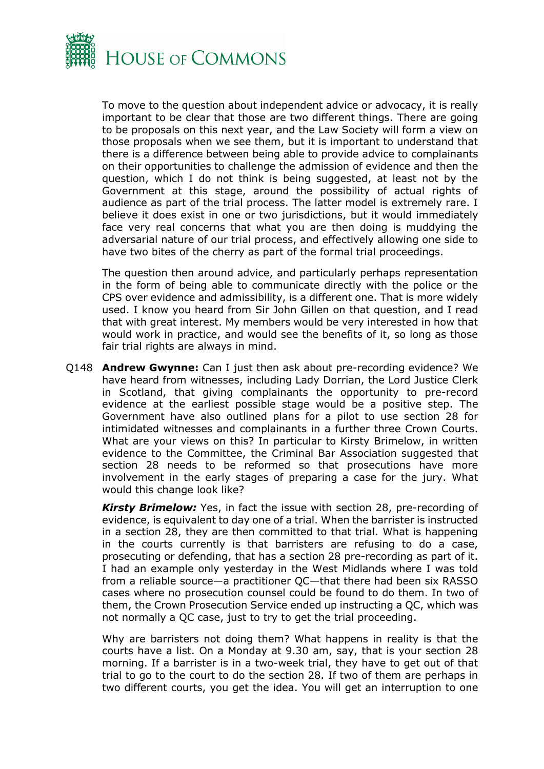

To move to the question about independent advice or advocacy, it is really important to be clear that those are two different things. There are going to be proposals on this next year, and the Law Society will form a view on those proposals when we see them, but it is important to understand that there is a difference between being able to provide advice to complainants on their opportunities to challenge the admission of evidence and then the question, which I do not think is being suggested, at least not by the Government at this stage, around the possibility of actual rights of audience as part of the trial process. The latter model is extremely rare. I believe it does exist in one or two jurisdictions, but it would immediately face very real concerns that what you are then doing is muddying the adversarial nature of our trial process, and effectively allowing one side to have two bites of the cherry as part of the formal trial proceedings.

The question then around advice, and particularly perhaps representation in the form of being able to communicate directly with the police or the CPS over evidence and admissibility, is a different one. That is more widely used. I know you heard from Sir John Gillen on that question, and I read that with great interest. My members would be very interested in how that would work in practice, and would see the benefits of it, so long as those fair trial rights are always in mind.

Q148 **Andrew Gwynne:** Can I just then ask about pre-recording evidence? We have heard from witnesses, including Lady Dorrian, the Lord Justice Clerk in Scotland, that giving complainants the opportunity to pre-record evidence at the earliest possible stage would be a positive step. The Government have also outlined plans for a pilot to use section 28 for intimidated witnesses and complainants in a further three Crown Courts. What are your views on this? In particular to Kirsty Brimelow, in written evidence to the Committee, the Criminal Bar Association suggested that section 28 needs to be reformed so that prosecutions have more involvement in the early stages of preparing a case for the jury. What would this change look like?

*Kirsty Brimelow:* Yes, in fact the issue with section 28, pre-recording of evidence, is equivalent to day one of a trial. When the barrister is instructed in a section 28, they are then committed to that trial. What is happening in the courts currently is that barristers are refusing to do a case, prosecuting or defending, that has a section 28 pre-recording as part of it. I had an example only yesterday in the West Midlands where I was told from a reliable source—a practitioner QC—that there had been six RASSO cases where no prosecution counsel could be found to do them. In two of them, the Crown Prosecution Service ended up instructing a QC, which was not normally a QC case, just to try to get the trial proceeding.

Why are barristers not doing them? What happens in reality is that the courts have a list. On a Monday at 9.30 am, say, that is your section 28 morning. If a barrister is in a two-week trial, they have to get out of that trial to go to the court to do the section 28. If two of them are perhaps in two different courts, you get the idea. You will get an interruption to one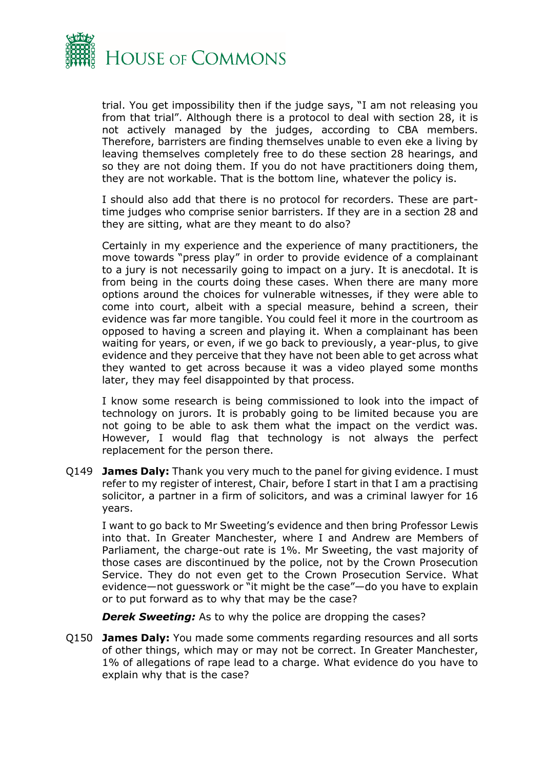

trial. You get impossibility then if the judge says, "I am not releasing you from that trial". Although there is a protocol to deal with section 28, it is not actively managed by the judges, according to CBA members. Therefore, barristers are finding themselves unable to even eke a living by leaving themselves completely free to do these section 28 hearings, and so they are not doing them. If you do not have practitioners doing them, they are not workable. That is the bottom line, whatever the policy is.

I should also add that there is no protocol for recorders. These are parttime judges who comprise senior barristers. If they are in a section 28 and they are sitting, what are they meant to do also?

Certainly in my experience and the experience of many practitioners, the move towards "press play" in order to provide evidence of a complainant to a jury is not necessarily going to impact on a jury. It is anecdotal. It is from being in the courts doing these cases. When there are many more options around the choices for vulnerable witnesses, if they were able to come into court, albeit with a special measure, behind a screen, their evidence was far more tangible. You could feel it more in the courtroom as opposed to having a screen and playing it. When a complainant has been waiting for years, or even, if we go back to previously, a year-plus, to give evidence and they perceive that they have not been able to get across what they wanted to get across because it was a video played some months later, they may feel disappointed by that process.

I know some research is being commissioned to look into the impact of technology on jurors. It is probably going to be limited because you are not going to be able to ask them what the impact on the verdict was. However, I would flag that technology is not always the perfect replacement for the person there.

Q149 **James Daly:** Thank you very much to the panel for giving evidence. I must refer to my register of interest, Chair, before I start in that I am a practising solicitor, a partner in a firm of solicitors, and was a criminal lawyer for 16 years.

I want to go back to Mr Sweeting's evidence and then bring Professor Lewis into that. In Greater Manchester, where I and Andrew are Members of Parliament, the charge-out rate is 1%. Mr Sweeting, the vast majority of those cases are discontinued by the police, not by the Crown Prosecution Service. They do not even get to the Crown Prosecution Service. What evidence—not guesswork or "it might be the case"—do you have to explain or to put forward as to why that may be the case?

**Derek Sweeting:** As to why the police are dropping the cases?

Q150 **James Daly:** You made some comments regarding resources and all sorts of other things, which may or may not be correct. In Greater Manchester, 1% of allegations of rape lead to a charge. What evidence do you have to explain why that is the case?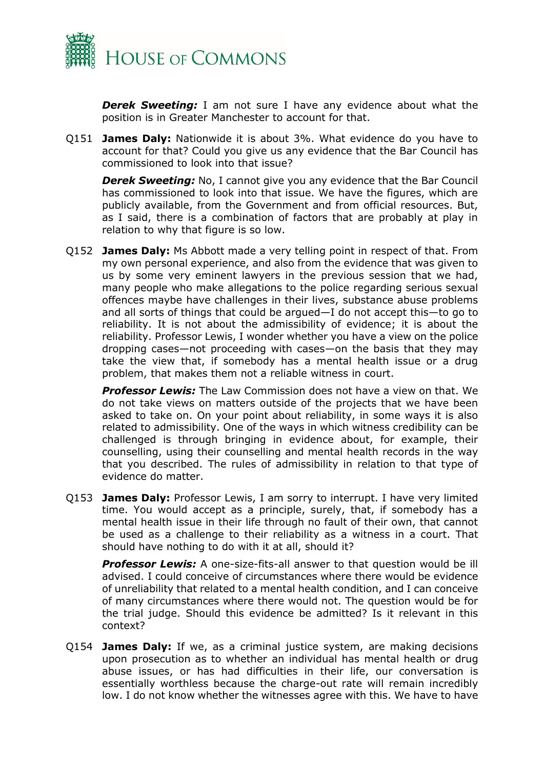

**Derek Sweeting:** I am not sure I have any evidence about what the position is in Greater Manchester to account for that.

Q151 **James Daly:** Nationwide it is about 3%. What evidence do you have to account for that? Could you give us any evidence that the Bar Council has commissioned to look into that issue?

**Derek Sweeting:** No, I cannot give you any evidence that the Bar Council has commissioned to look into that issue. We have the figures, which are publicly available, from the Government and from official resources. But, as I said, there is a combination of factors that are probably at play in relation to why that figure is so low.

Q152 **James Daly:** Ms Abbott made a very telling point in respect of that. From my own personal experience, and also from the evidence that was given to us by some very eminent lawyers in the previous session that we had, many people who make allegations to the police regarding serious sexual offences maybe have challenges in their lives, substance abuse problems and all sorts of things that could be argued—I do not accept this—to go to reliability. It is not about the admissibility of evidence; it is about the reliability. Professor Lewis, I wonder whether you have a view on the police dropping cases—not proceeding with cases—on the basis that they may take the view that, if somebody has a mental health issue or a drug problem, that makes them not a reliable witness in court.

*Professor Lewis:* The Law Commission does not have a view on that. We do not take views on matters outside of the projects that we have been asked to take on. On your point about reliability, in some ways it is also related to admissibility. One of the ways in which witness credibility can be challenged is through bringing in evidence about, for example, their counselling, using their counselling and mental health records in the way that you described. The rules of admissibility in relation to that type of evidence do matter.

Q153 **James Daly:** Professor Lewis, I am sorry to interrupt. I have very limited time. You would accept as a principle, surely, that, if somebody has a mental health issue in their life through no fault of their own, that cannot be used as a challenge to their reliability as a witness in a court. That should have nothing to do with it at all, should it?

**Professor Lewis:** A one-size-fits-all answer to that question would be ill advised. I could conceive of circumstances where there would be evidence of unreliability that related to a mental health condition, and I can conceive of many circumstances where there would not. The question would be for the trial judge. Should this evidence be admitted? Is it relevant in this context?

Q154 **James Daly:** If we, as a criminal justice system, are making decisions upon prosecution as to whether an individual has mental health or drug abuse issues, or has had difficulties in their life, our conversation is essentially worthless because the charge-out rate will remain incredibly low. I do not know whether the witnesses agree with this. We have to have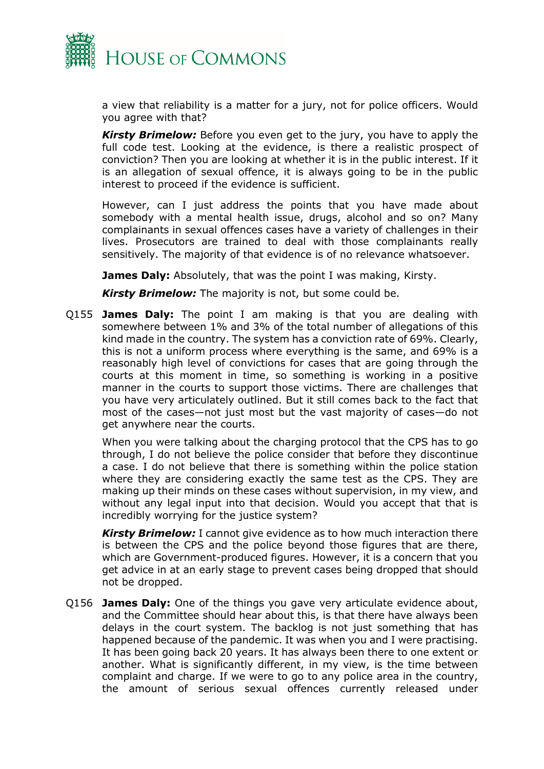

a view that reliability is a matter for a jury, not for police officers. Would you agree with that?

*Kirsty Brimelow:* Before you even get to the jury, you have to apply the full code test. Looking at the evidence, is there a realistic prospect of conviction? Then you are looking at whether it is in the public interest. If it is an allegation of sexual offence, it is always going to be in the public interest to proceed if the evidence is sufficient.

However, can I just address the points that you have made about somebody with a mental health issue, drugs, alcohol and so on? Many complainants in sexual offences cases have a variety of challenges in their lives. Prosecutors are trained to deal with those complainants really sensitively. The majority of that evidence is of no relevance whatsoever.

**James Daly:** Absolutely, that was the point I was making, Kirsty.

*Kirsty Brimelow:* The majority is not, but some could be.

Q155 **James Daly:** The point I am making is that you are dealing with somewhere between 1% and 3% of the total number of allegations of this kind made in the country. The system has a conviction rate of 69%. Clearly, this is not a uniform process where everything is the same, and 69% is a reasonably high level of convictions for cases that are going through the courts at this moment in time, so something is working in a positive manner in the courts to support those victims. There are challenges that you have very articulately outlined. But it still comes back to the fact that most of the cases—not just most but the vast majority of cases—do not get anywhere near the courts.

When you were talking about the charging protocol that the CPS has to go through, I do not believe the police consider that before they discontinue a case. I do not believe that there is something within the police station where they are considering exactly the same test as the CPS. They are making up their minds on these cases without supervision, in my view, and without any legal input into that decision. Would you accept that that is incredibly worrying for the justice system?

*Kirsty Brimelow:* I cannot give evidence as to how much interaction there is between the CPS and the police beyond those figures that are there, which are Government-produced figures. However, it is a concern that you get advice in at an early stage to prevent cases being dropped that should not be dropped.

Q156 **James Daly:** One of the things you gave very articulate evidence about, and the Committee should hear about this, is that there have always been delays in the court system. The backlog is not just something that has happened because of the pandemic. It was when you and I were practising. It has been going back 20 years. It has always been there to one extent or another. What is significantly different, in my view, is the time between complaint and charge. If we were to go to any police area in the country, the amount of serious sexual offences currently released under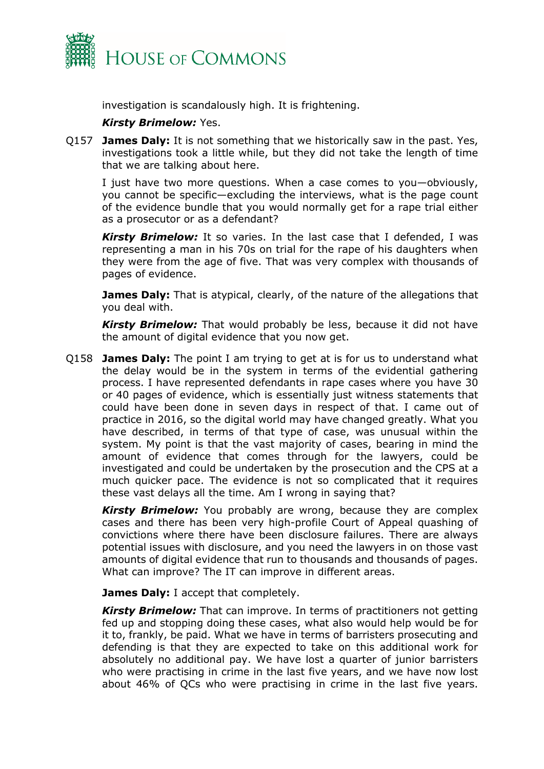

investigation is scandalously high. It is frightening.

#### *Kirsty Brimelow:* Yes.

Q157 **James Daly:** It is not something that we historically saw in the past. Yes, investigations took a little while, but they did not take the length of time that we are talking about here.

I just have two more questions. When a case comes to you—obviously, you cannot be specific—excluding the interviews, what is the page count of the evidence bundle that you would normally get for a rape trial either as a prosecutor or as a defendant?

*Kirsty Brimelow:* It so varies. In the last case that I defended, I was representing a man in his 70s on trial for the rape of his daughters when they were from the age of five. That was very complex with thousands of pages of evidence.

**James Daly:** That is atypical, clearly, of the nature of the allegations that you deal with.

*Kirsty Brimelow:* That would probably be less, because it did not have the amount of digital evidence that you now get.

Q158 **James Daly:** The point I am trying to get at is for us to understand what the delay would be in the system in terms of the evidential gathering process. I have represented defendants in rape cases where you have 30 or 40 pages of evidence, which is essentially just witness statements that could have been done in seven days in respect of that. I came out of practice in 2016, so the digital world may have changed greatly. What you have described, in terms of that type of case, was unusual within the system. My point is that the vast majority of cases, bearing in mind the amount of evidence that comes through for the lawyers, could be investigated and could be undertaken by the prosecution and the CPS at a much quicker pace. The evidence is not so complicated that it requires these vast delays all the time. Am I wrong in saying that?

**Kirsty Brimelow:** You probably are wrong, because they are complex cases and there has been very high-profile Court of Appeal quashing of convictions where there have been disclosure failures. There are always potential issues with disclosure, and you need the lawyers in on those vast amounts of digital evidence that run to thousands and thousands of pages. What can improve? The IT can improve in different areas.

**James Daly:** I accept that completely.

*Kirsty Brimelow:* That can improve. In terms of practitioners not getting fed up and stopping doing these cases, what also would help would be for it to, frankly, be paid. What we have in terms of barristers prosecuting and defending is that they are expected to take on this additional work for absolutely no additional pay. We have lost a quarter of junior barristers who were practising in crime in the last five years, and we have now lost about 46% of QCs who were practising in crime in the last five years.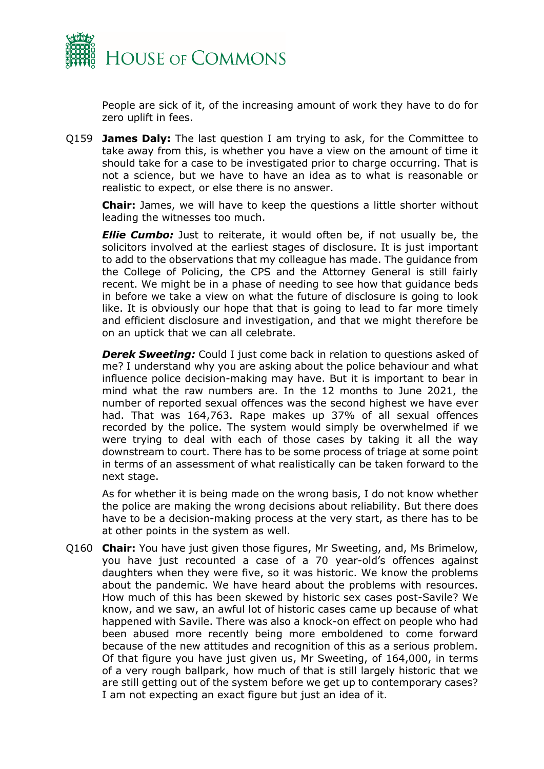

People are sick of it, of the increasing amount of work they have to do for zero uplift in fees.

Q159 **James Daly:** The last question I am trying to ask, for the Committee to take away from this, is whether you have a view on the amount of time it should take for a case to be investigated prior to charge occurring. That is not a science, but we have to have an idea as to what is reasonable or realistic to expect, or else there is no answer.

**Chair:** James, we will have to keep the questions a little shorter without leading the witnesses too much.

*Ellie Cumbo:* Just to reiterate, it would often be, if not usually be, the solicitors involved at the earliest stages of disclosure. It is just important to add to the observations that my colleague has made. The guidance from the College of Policing, the CPS and the Attorney General is still fairly recent. We might be in a phase of needing to see how that guidance beds in before we take a view on what the future of disclosure is going to look like. It is obviously our hope that that is going to lead to far more timely and efficient disclosure and investigation, and that we might therefore be on an uptick that we can all celebrate.

**Derek Sweeting:** Could I just come back in relation to questions asked of me? I understand why you are asking about the police behaviour and what influence police decision-making may have. But it is important to bear in mind what the raw numbers are. In the 12 months to June 2021, the number of reported sexual offences was the second highest we have ever had. That was 164,763. Rape makes up 37% of all sexual offences recorded by the police. The system would simply be overwhelmed if we were trying to deal with each of those cases by taking it all the way downstream to court. There has to be some process of triage at some point in terms of an assessment of what realistically can be taken forward to the next stage.

As for whether it is being made on the wrong basis, I do not know whether the police are making the wrong decisions about reliability. But there does have to be a decision-making process at the very start, as there has to be at other points in the system as well.

Q160 **Chair:** You have just given those figures, Mr Sweeting, and, Ms Brimelow, you have just recounted a case of a 70 year-old's offences against daughters when they were five, so it was historic. We know the problems about the pandemic. We have heard about the problems with resources. How much of this has been skewed by historic sex cases post-Savile? We know, and we saw, an awful lot of historic cases came up because of what happened with Savile. There was also a knock-on effect on people who had been abused more recently being more emboldened to come forward because of the new attitudes and recognition of this as a serious problem. Of that figure you have just given us, Mr Sweeting, of 164,000, in terms of a very rough ballpark, how much of that is still largely historic that we are still getting out of the system before we get up to contemporary cases? I am not expecting an exact figure but just an idea of it.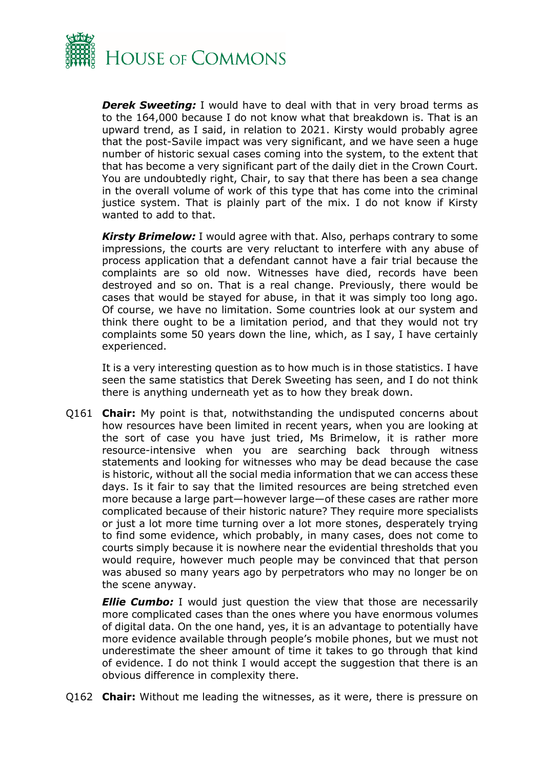

**Derek Sweeting:** I would have to deal with that in very broad terms as to the 164,000 because I do not know what that breakdown is. That is an upward trend, as I said, in relation to 2021. Kirsty would probably agree that the post-Savile impact was very significant, and we have seen a huge number of historic sexual cases coming into the system, to the extent that that has become a very significant part of the daily diet in the Crown Court. You are undoubtedly right, Chair, to say that there has been a sea change in the overall volume of work of this type that has come into the criminal justice system. That is plainly part of the mix. I do not know if Kirsty wanted to add to that.

*Kirsty Brimelow:* I would agree with that. Also, perhaps contrary to some impressions, the courts are very reluctant to interfere with any abuse of process application that a defendant cannot have a fair trial because the complaints are so old now. Witnesses have died, records have been destroyed and so on. That is a real change. Previously, there would be cases that would be stayed for abuse, in that it was simply too long ago. Of course, we have no limitation. Some countries look at our system and think there ought to be a limitation period, and that they would not try complaints some 50 years down the line, which, as I say, I have certainly experienced.

It is a very interesting question as to how much is in those statistics. I have seen the same statistics that Derek Sweeting has seen, and I do not think there is anything underneath yet as to how they break down.

Q161 **Chair:** My point is that, notwithstanding the undisputed concerns about how resources have been limited in recent years, when you are looking at the sort of case you have just tried, Ms Brimelow, it is rather more resource-intensive when you are searching back through witness statements and looking for witnesses who may be dead because the case is historic, without all the social media information that we can access these days. Is it fair to say that the limited resources are being stretched even more because a large part—however large—of these cases are rather more complicated because of their historic nature? They require more specialists or just a lot more time turning over a lot more stones, desperately trying to find some evidence, which probably, in many cases, does not come to courts simply because it is nowhere near the evidential thresholds that you would require, however much people may be convinced that that person was abused so many years ago by perpetrators who may no longer be on the scene anyway.

*Ellie Cumbo:* I would just question the view that those are necessarily more complicated cases than the ones where you have enormous volumes of digital data. On the one hand, yes, it is an advantage to potentially have more evidence available through people's mobile phones, but we must not underestimate the sheer amount of time it takes to go through that kind of evidence. I do not think I would accept the suggestion that there is an obvious difference in complexity there.

Q162 **Chair:** Without me leading the witnesses, as it were, there is pressure on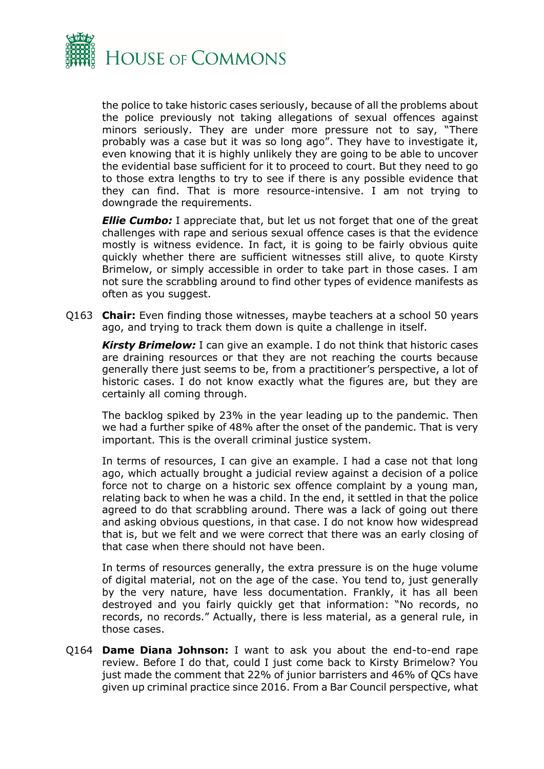

the police to take historic cases seriously, because of all the problems about the police previously not taking allegations of sexual offences against minors seriously. They are under more pressure not to say, "There probably was a case but it was so long ago". They have to investigate it, even knowing that it is highly unlikely they are going to be able to uncover the evidential base sufficient for it to proceed to court. But they need to go to those extra lengths to try to see if there is any possible evidence that they can find. That is more resource-intensive. I am not trying to downgrade the requirements.

*Ellie Cumbo:* I appreciate that, but let us not forget that one of the great challenges with rape and serious sexual offence cases is that the evidence mostly is witness evidence. In fact, it is going to be fairly obvious quite quickly whether there are sufficient witnesses still alive, to quote Kirsty Brimelow, or simply accessible in order to take part in those cases. I am not sure the scrabbling around to find other types of evidence manifests as often as you suggest.

Q163 **Chair:** Even finding those witnesses, maybe teachers at a school 50 years ago, and trying to track them down is quite a challenge in itself.

*Kirsty Brimelow:* I can give an example. I do not think that historic cases are draining resources or that they are not reaching the courts because generally there just seems to be, from a practitioner's perspective, a lot of historic cases. I do not know exactly what the figures are, but they are certainly all coming through.

The backlog spiked by 23% in the year leading up to the pandemic. Then we had a further spike of 48% after the onset of the pandemic. That is very important. This is the overall criminal justice system.

In terms of resources, I can give an example. I had a case not that long ago, which actually brought a judicial review against a decision of a police force not to charge on a historic sex offence complaint by a young man, relating back to when he was a child. In the end, it settled in that the police agreed to do that scrabbling around. There was a lack of going out there and asking obvious questions, in that case. I do not know how widespread that is, but we felt and we were correct that there was an early closing of that case when there should not have been.

In terms of resources generally, the extra pressure is on the huge volume of digital material, not on the age of the case. You tend to, just generally by the very nature, have less documentation. Frankly, it has all been destroyed and you fairly quickly get that information: "No records, no records, no records." Actually, there is less material, as a general rule, in those cases.

Q164 **Dame Diana Johnson:** I want to ask you about the end-to-end rape review. Before I do that, could I just come back to Kirsty Brimelow? You just made the comment that 22% of junior barristers and 46% of QCs have given up criminal practice since 2016. From a Bar Council perspective, what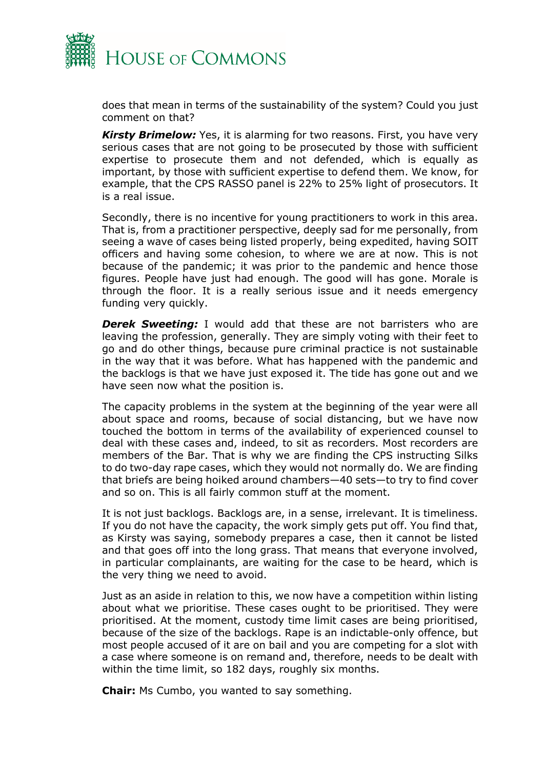

does that mean in terms of the sustainability of the system? Could you just comment on that?

*Kirsty Brimelow:* Yes, it is alarming for two reasons. First, you have very serious cases that are not going to be prosecuted by those with sufficient expertise to prosecute them and not defended, which is equally as important, by those with sufficient expertise to defend them. We know, for example, that the CPS RASSO panel is 22% to 25% light of prosecutors. It is a real issue.

Secondly, there is no incentive for young practitioners to work in this area. That is, from a practitioner perspective, deeply sad for me personally, from seeing a wave of cases being listed properly, being expedited, having SOIT officers and having some cohesion, to where we are at now. This is not because of the pandemic; it was prior to the pandemic and hence those figures. People have just had enough. The good will has gone. Morale is through the floor. It is a really serious issue and it needs emergency funding very quickly.

**Derek Sweeting:** I would add that these are not barristers who are leaving the profession, generally. They are simply voting with their feet to go and do other things, because pure criminal practice is not sustainable in the way that it was before. What has happened with the pandemic and the backlogs is that we have just exposed it. The tide has gone out and we have seen now what the position is.

The capacity problems in the system at the beginning of the year were all about space and rooms, because of social distancing, but we have now touched the bottom in terms of the availability of experienced counsel to deal with these cases and, indeed, to sit as recorders. Most recorders are members of the Bar. That is why we are finding the CPS instructing Silks to do two-day rape cases, which they would not normally do. We are finding that briefs are being hoiked around chambers—40 sets—to try to find cover and so on. This is all fairly common stuff at the moment.

It is not just backlogs. Backlogs are, in a sense, irrelevant. It is timeliness. If you do not have the capacity, the work simply gets put off. You find that, as Kirsty was saying, somebody prepares a case, then it cannot be listed and that goes off into the long grass. That means that everyone involved, in particular complainants, are waiting for the case to be heard, which is the very thing we need to avoid.

Just as an aside in relation to this, we now have a competition within listing about what we prioritise. These cases ought to be prioritised. They were prioritised. At the moment, custody time limit cases are being prioritised, because of the size of the backlogs. Rape is an indictable-only offence, but most people accused of it are on bail and you are competing for a slot with a case where someone is on remand and, therefore, needs to be dealt with within the time limit, so 182 days, roughly six months.

**Chair:** Ms Cumbo, you wanted to say something.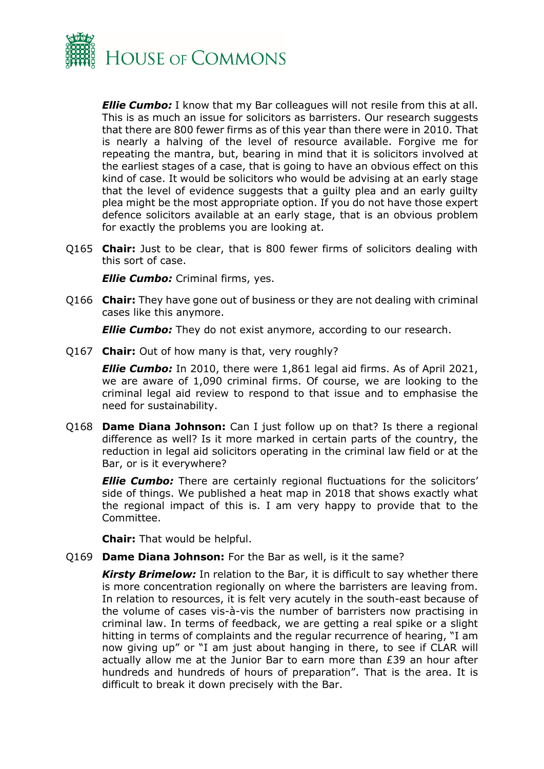

*Ellie Cumbo: I know that my Bar colleagues will not resile from this at all.* This is as much an issue for solicitors as barristers. Our research suggests that there are 800 fewer firms as of this year than there were in 2010. That is nearly a halving of the level of resource available. Forgive me for repeating the mantra, but, bearing in mind that it is solicitors involved at the earliest stages of a case, that is going to have an obvious effect on this kind of case. It would be solicitors who would be advising at an early stage that the level of evidence suggests that a guilty plea and an early guilty plea might be the most appropriate option. If you do not have those expert defence solicitors available at an early stage, that is an obvious problem for exactly the problems you are looking at.

Q165 **Chair:** Just to be clear, that is 800 fewer firms of solicitors dealing with this sort of case.

*Ellie Cumbo: Criminal firms, yes.* 

Q166 **Chair:** They have gone out of business or they are not dealing with criminal cases like this anymore.

*Ellie Cumbo:* They do not exist anymore, according to our research.

Q167 **Chair:** Out of how many is that, very roughly?

*Ellie Cumbo:* In 2010, there were 1,861 legal aid firms. As of April 2021, we are aware of 1,090 criminal firms. Of course, we are looking to the criminal legal aid review to respond to that issue and to emphasise the need for sustainability.

Q168 **Dame Diana Johnson:** Can I just follow up on that? Is there a regional difference as well? Is it more marked in certain parts of the country, the reduction in legal aid solicitors operating in the criminal law field or at the Bar, or is it everywhere?

*Ellie Cumbo:* There are certainly regional fluctuations for the solicitors' side of things. We published a heat map in 2018 that shows exactly what the regional impact of this is. I am very happy to provide that to the Committee.

**Chair:** That would be helpful.

Q169 **Dame Diana Johnson:** For the Bar as well, is it the same?

*Kirsty Brimelow:* In relation to the Bar, it is difficult to say whether there is more concentration regionally on where the barristers are leaving from. In relation to resources, it is felt very acutely in the south-east because of the volume of cases vis-à-vis the number of barristers now practising in criminal law. In terms of feedback, we are getting a real spike or a slight hitting in terms of complaints and the regular recurrence of hearing, "I am now giving up" or "I am just about hanging in there, to see if CLAR will actually allow me at the Junior Bar to earn more than £39 an hour after hundreds and hundreds of hours of preparation". That is the area. It is difficult to break it down precisely with the Bar.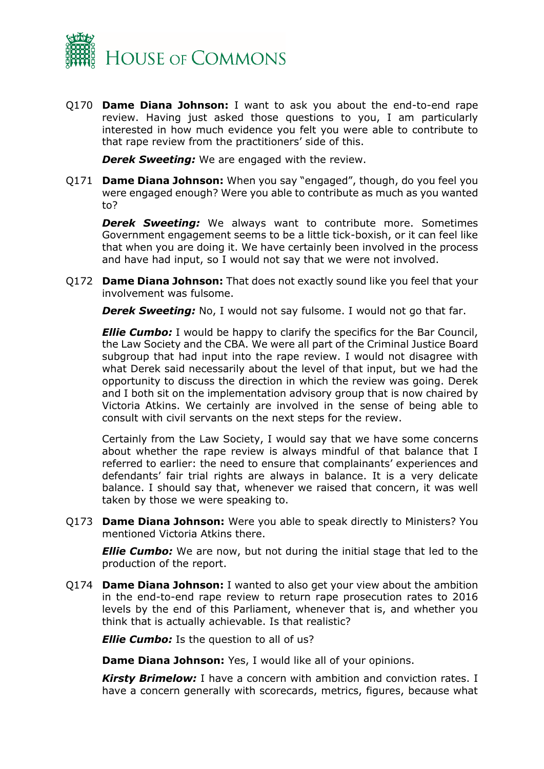

Q170 **Dame Diana Johnson:** I want to ask you about the end-to-end rape review. Having just asked those questions to you, I am particularly interested in how much evidence you felt you were able to contribute to that rape review from the practitioners' side of this.

**Derek Sweeting:** We are engaged with the review.

Q171 **Dame Diana Johnson:** When you say "engaged", though, do you feel you were engaged enough? Were you able to contribute as much as you wanted to?

*Derek Sweeting:* We always want to contribute more. Sometimes Government engagement seems to be a little tick-boxish, or it can feel like that when you are doing it. We have certainly been involved in the process and have had input, so I would not say that we were not involved.

Q172 **Dame Diana Johnson:** That does not exactly sound like you feel that your involvement was fulsome.

*Derek Sweeting:* No, I would not say fulsome. I would not go that far.

*Ellie Cumbo: I* would be happy to clarify the specifics for the Bar Council, the Law Society and the CBA. We were all part of the Criminal Justice Board subgroup that had input into the rape review. I would not disagree with what Derek said necessarily about the level of that input, but we had the opportunity to discuss the direction in which the review was going. Derek and I both sit on the implementation advisory group that is now chaired by Victoria Atkins. We certainly are involved in the sense of being able to consult with civil servants on the next steps for the review.

Certainly from the Law Society, I would say that we have some concerns about whether the rape review is always mindful of that balance that I referred to earlier: the need to ensure that complainants' experiences and defendants' fair trial rights are always in balance. It is a very delicate balance. I should say that, whenever we raised that concern, it was well taken by those we were speaking to.

Q173 **Dame Diana Johnson:** Were you able to speak directly to Ministers? You mentioned Victoria Atkins there.

*Ellie Cumbo:* We are now, but not during the initial stage that led to the production of the report.

Q174 **Dame Diana Johnson:** I wanted to also get your view about the ambition in the end-to-end rape review to return rape prosecution rates to 2016 levels by the end of this Parliament, whenever that is, and whether you think that is actually achievable. Is that realistic?

**Ellie Cumbo:** Is the question to all of us?

**Dame Diana Johnson:** Yes, I would like all of your opinions.

*Kirsty Brimelow:* I have a concern with ambition and conviction rates. I have a concern generally with scorecards, metrics, figures, because what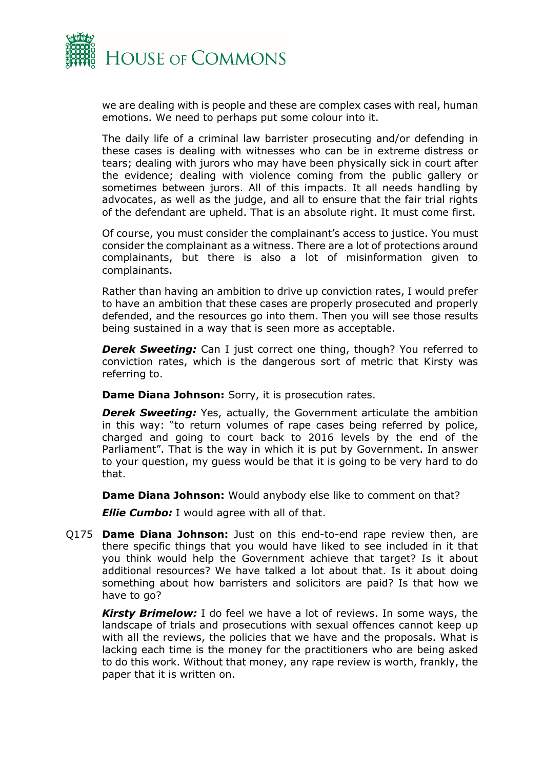

we are dealing with is people and these are complex cases with real, human emotions. We need to perhaps put some colour into it.

The daily life of a criminal law barrister prosecuting and/or defending in these cases is dealing with witnesses who can be in extreme distress or tears; dealing with jurors who may have been physically sick in court after the evidence; dealing with violence coming from the public gallery or sometimes between jurors. All of this impacts. It all needs handling by advocates, as well as the judge, and all to ensure that the fair trial rights of the defendant are upheld. That is an absolute right. It must come first.

Of course, you must consider the complainant's access to justice. You must consider the complainant as a witness. There are a lot of protections around complainants, but there is also a lot of misinformation given to complainants.

Rather than having an ambition to drive up conviction rates, I would prefer to have an ambition that these cases are properly prosecuted and properly defended, and the resources go into them. Then you will see those results being sustained in a way that is seen more as acceptable.

**Derek Sweeting:** Can I just correct one thing, though? You referred to conviction rates, which is the dangerous sort of metric that Kirsty was referring to.

**Dame Diana Johnson:** Sorry, it is prosecution rates.

**Derek Sweeting:** Yes, actually, the Government articulate the ambition in this way: "to return volumes of rape cases being referred by police, charged and going to court back to 2016 levels by the end of the Parliament". That is the way in which it is put by Government. In answer to your question, my guess would be that it is going to be very hard to do that.

**Dame Diana Johnson:** Would anybody else like to comment on that?

*Ellie Cumbo: I would agree with all of that.* 

Q175 **Dame Diana Johnson:** Just on this end-to-end rape review then, are there specific things that you would have liked to see included in it that you think would help the Government achieve that target? Is it about additional resources? We have talked a lot about that. Is it about doing something about how barristers and solicitors are paid? Is that how we have to go?

*Kirsty Brimelow:* I do feel we have a lot of reviews. In some ways, the landscape of trials and prosecutions with sexual offences cannot keep up with all the reviews, the policies that we have and the proposals. What is lacking each time is the money for the practitioners who are being asked to do this work. Without that money, any rape review is worth, frankly, the paper that it is written on.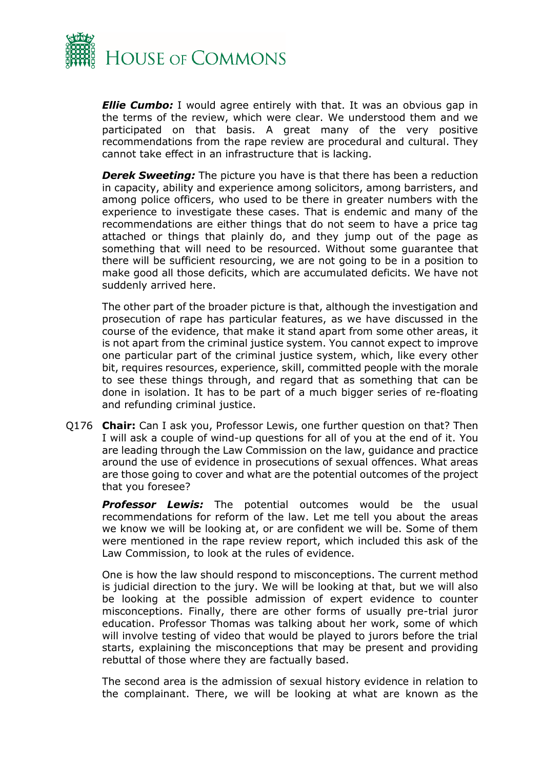

*Ellie Cumbo:* I would agree entirely with that. It was an obvious gap in the terms of the review, which were clear. We understood them and we participated on that basis. A great many of the very positive recommendations from the rape review are procedural and cultural. They cannot take effect in an infrastructure that is lacking.

*Derek Sweeting:* The picture you have is that there has been a reduction in capacity, ability and experience among solicitors, among barristers, and among police officers, who used to be there in greater numbers with the experience to investigate these cases. That is endemic and many of the recommendations are either things that do not seem to have a price tag attached or things that plainly do, and they jump out of the page as something that will need to be resourced. Without some guarantee that there will be sufficient resourcing, we are not going to be in a position to make good all those deficits, which are accumulated deficits. We have not suddenly arrived here.

The other part of the broader picture is that, although the investigation and prosecution of rape has particular features, as we have discussed in the course of the evidence, that make it stand apart from some other areas, it is not apart from the criminal justice system. You cannot expect to improve one particular part of the criminal justice system, which, like every other bit, requires resources, experience, skill, committed people with the morale to see these things through, and regard that as something that can be done in isolation. It has to be part of a much bigger series of re-floating and refunding criminal justice.

Q176 **Chair:** Can I ask you, Professor Lewis, one further question on that? Then I will ask a couple of wind-up questions for all of you at the end of it. You are leading through the Law Commission on the law, guidance and practice around the use of evidence in prosecutions of sexual offences. What areas are those going to cover and what are the potential outcomes of the project that you foresee?

*Professor Lewis:* The potential outcomes would be the usual recommendations for reform of the law. Let me tell you about the areas we know we will be looking at, or are confident we will be. Some of them were mentioned in the rape review report, which included this ask of the Law Commission, to look at the rules of evidence.

One is how the law should respond to misconceptions. The current method is judicial direction to the jury. We will be looking at that, but we will also be looking at the possible admission of expert evidence to counter misconceptions. Finally, there are other forms of usually pre-trial juror education. Professor Thomas was talking about her work, some of which will involve testing of video that would be played to jurors before the trial starts, explaining the misconceptions that may be present and providing rebuttal of those where they are factually based.

The second area is the admission of sexual history evidence in relation to the complainant. There, we will be looking at what are known as the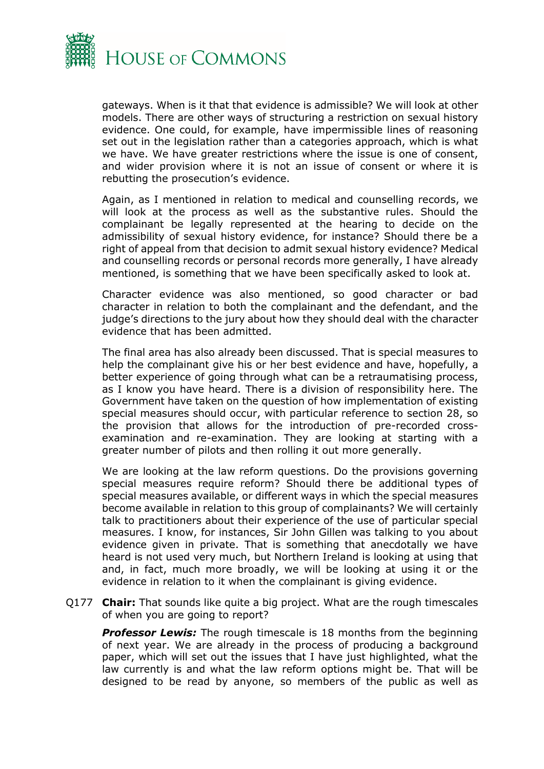

gateways. When is it that that evidence is admissible? We will look at other models. There are other ways of structuring a restriction on sexual history evidence. One could, for example, have impermissible lines of reasoning set out in the legislation rather than a categories approach, which is what we have. We have greater restrictions where the issue is one of consent, and wider provision where it is not an issue of consent or where it is rebutting the prosecution's evidence.

Again, as I mentioned in relation to medical and counselling records, we will look at the process as well as the substantive rules. Should the complainant be legally represented at the hearing to decide on the admissibility of sexual history evidence, for instance? Should there be a right of appeal from that decision to admit sexual history evidence? Medical and counselling records or personal records more generally, I have already mentioned, is something that we have been specifically asked to look at.

Character evidence was also mentioned, so good character or bad character in relation to both the complainant and the defendant, and the judge's directions to the jury about how they should deal with the character evidence that has been admitted.

The final area has also already been discussed. That is special measures to help the complainant give his or her best evidence and have, hopefully, a better experience of going through what can be a retraumatising process, as I know you have heard. There is a division of responsibility here. The Government have taken on the question of how implementation of existing special measures should occur, with particular reference to section 28, so the provision that allows for the introduction of pre-recorded crossexamination and re-examination. They are looking at starting with a greater number of pilots and then rolling it out more generally.

We are looking at the law reform questions. Do the provisions governing special measures require reform? Should there be additional types of special measures available, or different ways in which the special measures become available in relation to this group of complainants? We will certainly talk to practitioners about their experience of the use of particular special measures. I know, for instances, Sir John Gillen was talking to you about evidence given in private. That is something that anecdotally we have heard is not used very much, but Northern Ireland is looking at using that and, in fact, much more broadly, we will be looking at using it or the evidence in relation to it when the complainant is giving evidence.

Q177 **Chair:** That sounds like quite a big project. What are the rough timescales of when you are going to report?

**Professor Lewis:** The rough timescale is 18 months from the beginning of next year. We are already in the process of producing a background paper, which will set out the issues that I have just highlighted, what the law currently is and what the law reform options might be. That will be designed to be read by anyone, so members of the public as well as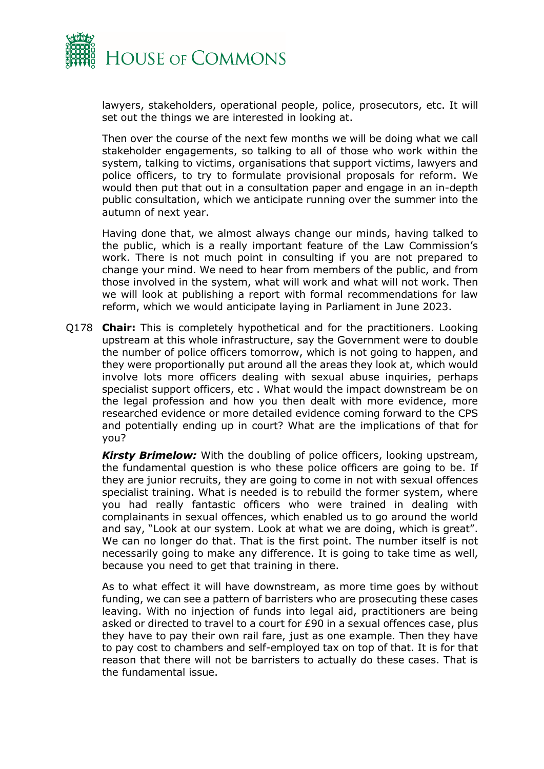

lawyers, stakeholders, operational people, police, prosecutors, etc. It will set out the things we are interested in looking at.

Then over the course of the next few months we will be doing what we call stakeholder engagements, so talking to all of those who work within the system, talking to victims, organisations that support victims, lawyers and police officers, to try to formulate provisional proposals for reform. We would then put that out in a consultation paper and engage in an in-depth public consultation, which we anticipate running over the summer into the autumn of next year.

Having done that, we almost always change our minds, having talked to the public, which is a really important feature of the Law Commission's work. There is not much point in consulting if you are not prepared to change your mind. We need to hear from members of the public, and from those involved in the system, what will work and what will not work. Then we will look at publishing a report with formal recommendations for law reform, which we would anticipate laying in Parliament in June 2023.

Q178 **Chair:** This is completely hypothetical and for the practitioners. Looking upstream at this whole infrastructure, say the Government were to double the number of police officers tomorrow, which is not going to happen, and they were proportionally put around all the areas they look at, which would involve lots more officers dealing with sexual abuse inquiries, perhaps specialist support officers, etc . What would the impact downstream be on the legal profession and how you then dealt with more evidence, more researched evidence or more detailed evidence coming forward to the CPS and potentially ending up in court? What are the implications of that for you?

*Kirsty Brimelow:* With the doubling of police officers, looking upstream, the fundamental question is who these police officers are going to be. If they are junior recruits, they are going to come in not with sexual offences specialist training. What is needed is to rebuild the former system, where you had really fantastic officers who were trained in dealing with complainants in sexual offences, which enabled us to go around the world and say, "Look at our system. Look at what we are doing, which is great". We can no longer do that. That is the first point. The number itself is not necessarily going to make any difference. It is going to take time as well, because you need to get that training in there.

As to what effect it will have downstream, as more time goes by without funding, we can see a pattern of barristers who are prosecuting these cases leaving. With no injection of funds into legal aid, practitioners are being asked or directed to travel to a court for £90 in a sexual offences case, plus they have to pay their own rail fare, just as one example. Then they have to pay cost to chambers and self-employed tax on top of that. It is for that reason that there will not be barristers to actually do these cases. That is the fundamental issue.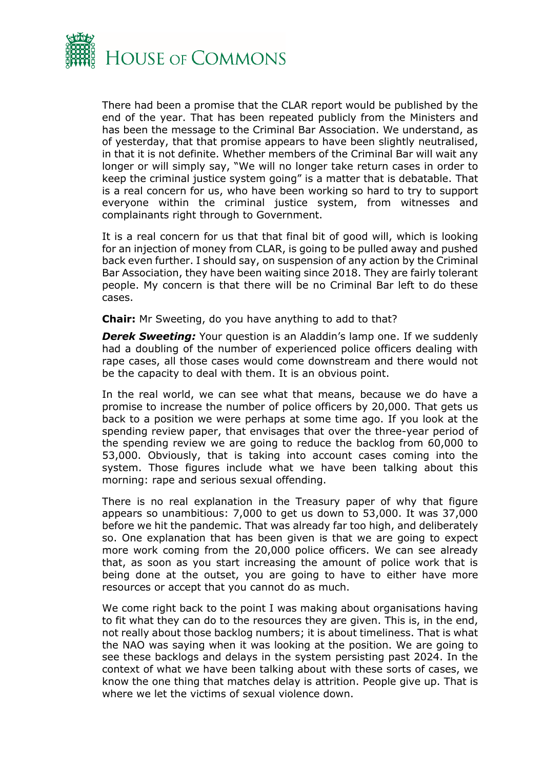

There had been a promise that the CLAR report would be published by the end of the year. That has been repeated publicly from the Ministers and has been the message to the Criminal Bar Association. We understand, as of yesterday, that that promise appears to have been slightly neutralised, in that it is not definite. Whether members of the Criminal Bar will wait any longer or will simply say, "We will no longer take return cases in order to keep the criminal justice system going" is a matter that is debatable. That is a real concern for us, who have been working so hard to try to support everyone within the criminal justice system, from witnesses and complainants right through to Government.

It is a real concern for us that that final bit of good will, which is looking for an injection of money from CLAR, is going to be pulled away and pushed back even further. I should say, on suspension of any action by the Criminal Bar Association, they have been waiting since 2018. They are fairly tolerant people. My concern is that there will be no Criminal Bar left to do these cases.

**Chair:** Mr Sweeting, do you have anything to add to that?

*Derek Sweeting:* Your question is an Aladdin's lamp one. If we suddenly had a doubling of the number of experienced police officers dealing with rape cases, all those cases would come downstream and there would not be the capacity to deal with them. It is an obvious point.

In the real world, we can see what that means, because we do have a promise to increase the number of police officers by 20,000. That gets us back to a position we were perhaps at some time ago. If you look at the spending review paper, that envisages that over the three-year period of the spending review we are going to reduce the backlog from 60,000 to 53,000. Obviously, that is taking into account cases coming into the system. Those figures include what we have been talking about this morning: rape and serious sexual offending.

There is no real explanation in the Treasury paper of why that figure appears so unambitious: 7,000 to get us down to 53,000. It was 37,000 before we hit the pandemic. That was already far too high, and deliberately so. One explanation that has been given is that we are going to expect more work coming from the 20,000 police officers. We can see already that, as soon as you start increasing the amount of police work that is being done at the outset, you are going to have to either have more resources or accept that you cannot do as much.

We come right back to the point I was making about organisations having to fit what they can do to the resources they are given. This is, in the end, not really about those backlog numbers; it is about timeliness. That is what the NAO was saying when it was looking at the position. We are going to see these backlogs and delays in the system persisting past 2024. In the context of what we have been talking about with these sorts of cases, we know the one thing that matches delay is attrition. People give up. That is where we let the victims of sexual violence down.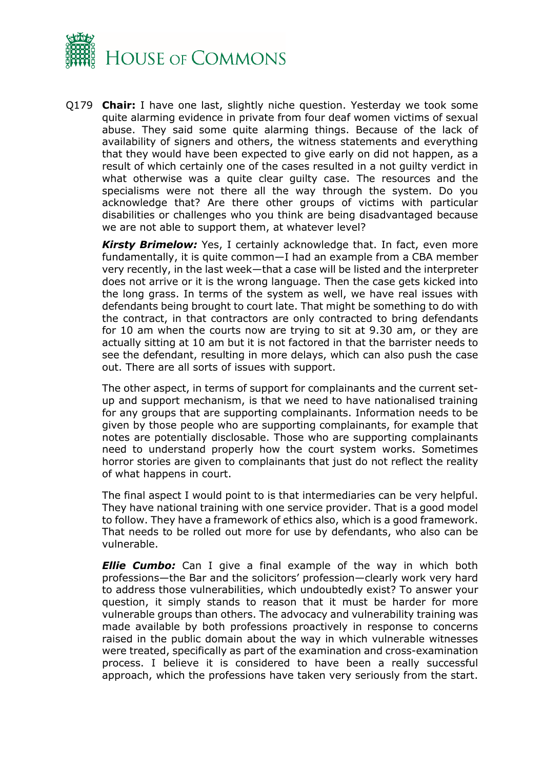

Q179 **Chair:** I have one last, slightly niche question. Yesterday we took some quite alarming evidence in private from four deaf women victims of sexual abuse. They said some quite alarming things. Because of the lack of availability of signers and others, the witness statements and everything that they would have been expected to give early on did not happen, as a result of which certainly one of the cases resulted in a not guilty verdict in what otherwise was a quite clear guilty case. The resources and the specialisms were not there all the way through the system. Do you acknowledge that? Are there other groups of victims with particular disabilities or challenges who you think are being disadvantaged because we are not able to support them, at whatever level?

*Kirsty Brimelow:* Yes, I certainly acknowledge that. In fact, even more fundamentally, it is quite common—I had an example from a CBA member very recently, in the last week—that a case will be listed and the interpreter does not arrive or it is the wrong language. Then the case gets kicked into the long grass. In terms of the system as well, we have real issues with defendants being brought to court late. That might be something to do with the contract, in that contractors are only contracted to bring defendants for 10 am when the courts now are trying to sit at 9.30 am, or they are actually sitting at 10 am but it is not factored in that the barrister needs to see the defendant, resulting in more delays, which can also push the case out. There are all sorts of issues with support.

The other aspect, in terms of support for complainants and the current setup and support mechanism, is that we need to have nationalised training for any groups that are supporting complainants. Information needs to be given by those people who are supporting complainants, for example that notes are potentially disclosable. Those who are supporting complainants need to understand properly how the court system works. Sometimes horror stories are given to complainants that just do not reflect the reality of what happens in court.

The final aspect I would point to is that intermediaries can be very helpful. They have national training with one service provider. That is a good model to follow. They have a framework of ethics also, which is a good framework. That needs to be rolled out more for use by defendants, who also can be vulnerable.

*Ellie Cumbo:* Can I give a final example of the way in which both professions—the Bar and the solicitors' profession—clearly work very hard to address those vulnerabilities, which undoubtedly exist? To answer your question, it simply stands to reason that it must be harder for more vulnerable groups than others. The advocacy and vulnerability training was made available by both professions proactively in response to concerns raised in the public domain about the way in which vulnerable witnesses were treated, specifically as part of the examination and cross-examination process. I believe it is considered to have been a really successful approach, which the professions have taken very seriously from the start.